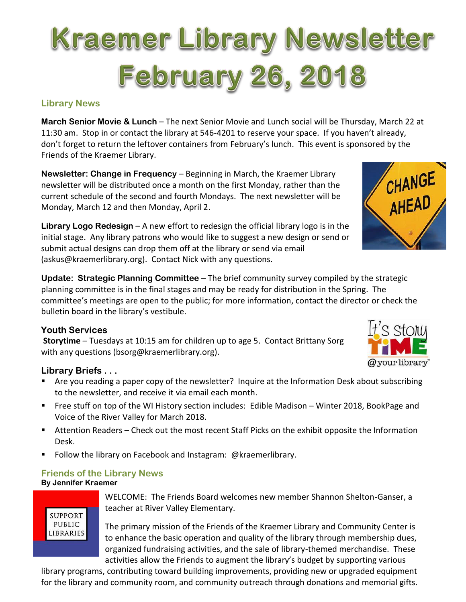# Kraemer Library Newsletter **February 26, 2018**

## **Library News**

**March Senior Movie & Lunch** – The next Senior Movie and Lunch social will be Thursday, March 22 at 11:30 am. Stop in or contact the library at 546-4201 to reserve your space. If you haven't already, don't forget to return the leftover containers from February's lunch. This event is sponsored by the Friends of the Kraemer Library.

**Newsletter: Change in Frequency** – Beginning in March, the Kraemer Library newsletter will be distributed once a month on the first Monday, rather than the current schedule of the second and fourth Mondays. The next newsletter will be Monday, March 12 and then Monday, April 2.

**Library Logo Redesign** – A new effort to redesign the official library logo is in the initial stage. Any library patrons who would like to suggest a new design or send or submit actual designs can drop them off at the library or send via email (askus@kraemerlibrary.org). Contact Nick with any questions.

**Update: Strategic Planning Committee** – The brief community survey compiled by the strategic planning committee is in the final stages and may be ready for distribution in the Spring. The committee's meetings are open to the public; for more information, contact the director or check the bulletin board in the library's vestibule.

## **Youth Services**

**Storytime** – Tuesdays at 10:15 am for children up to age 5. Contact Brittany Sorg with any questions (bsorg@kraemerlibrary.org).

## **Library Briefs . . .**

- Are you reading a paper copy of the newsletter? Inquire at the Information Desk about subscribing to the newsletter, and receive it via email each month.
- Free stuff on top of the WI History section includes: Edible Madison Winter 2018, BookPage and Voice of the River Valley for March 2018.
- Attention Readers Check out the most recent Staff Picks on the exhibit opposite the Information Desk.
- Follow the library on Facebook and Instagram: @kraemerlibrary.

# **Friends of the Library News**

## **By Jennifer Kraemer**

**SUPPORT** PUBLIC **LIBRARIES**  WELCOME: The Friends Board welcomes new member Shannon Shelton-Ganser, a teacher at River Valley Elementary.

The primary mission of the Friends of the Kraemer Library and Community Center is to enhance the basic operation and quality of the library through membership dues, organized fundraising activities, and the sale of library-themed merchandise. These activities allow the Friends to augment the library's budget by supporting various

library programs, contributing toward building improvements, providing new or upgraded equipment for the library and community room, and community outreach through donations and memorial gifts.



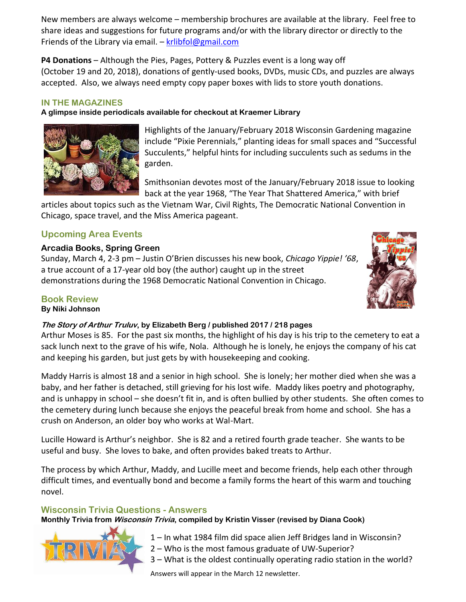New members are always welcome – membership brochures are available at the library. Feel free to share ideas and suggestions for future programs and/or with the library director or directly to the Friends of the Library via email. –  $krlibfol@gmail.com$ 

**P4 Donations** – Although the Pies, Pages, Pottery & Puzzles event is a long way off (October 19 and 20, 2018), donations of gently-used books, DVDs, music CDs, and puzzles are always accepted. Also, we always need empty copy paper boxes with lids to store youth donations.

#### **IN THE MAGAZINES**

**A glimpse inside periodicals available for checkout at Kraemer Library**



Highlights of the January/February 2018 Wisconsin Gardening magazine include "Pixie Perennials," planting ideas for small spaces and "Successful Succulents," helpful hints for including succulents such as sedums in the garden.

Smithsonian devotes most of the January/February 2018 issue to looking back at the year 1968, "The Year That Shattered America," with brief

articles about topics such as the Vietnam War, Civil Rights, The Democratic National Convention in Chicago, space travel, and the Miss America pageant.

## **Upcoming Area Events**

#### **Arcadia Books, Spring Green**

Sunday, March 4, 2-3 pm – Justin O'Brien discusses his new book, *Chicago Yippie! '68*, a true account of a 17-year old boy (the author) caught up in the street demonstrations during the 1968 Democratic National Convention in Chicago.



## **Book Review**

**By Niki Johnson**

#### **The Story of Arthur Truluv, by Elizabeth Berg / published 2017 / 218 pages**

Arthur Moses is 85. For the past six months, the highlight of his day is his trip to the cemetery to eat a sack lunch next to the grave of his wife, Nola. Although he is lonely, he enjoys the company of his cat and keeping his garden, but just gets by with housekeeping and cooking.

Maddy Harris is almost 18 and a senior in high school. She is lonely; her mother died when she was a baby, and her father is detached, still grieving for his lost wife. Maddy likes poetry and photography, and is unhappy in school – she doesn't fit in, and is often bullied by other students. She often comes to the cemetery during lunch because she enjoys the peaceful break from home and school. She has a crush on Anderson, an older boy who works at Wal-Mart.

Lucille Howard is Arthur's neighbor. She is 82 and a retired fourth grade teacher. She wants to be useful and busy. She loves to bake, and often provides baked treats to Arthur.

The process by which Arthur, Maddy, and Lucille meet and become friends, help each other through difficult times, and eventually bond and become a family forms the heart of this warm and touching novel.

#### **Wisconsin Trivia Questions - Answers**

**Monthly Trivia from Wisconsin Trivia, compiled by Kristin Visser (revised by Diana Cook)**



- 1 In what 1984 film did space alien Jeff Bridges land in Wisconsin?
- 2 Who is the most famous graduate of UW-Superior?
- 3 What is the oldest continually operating radio station in the world?

Answers will appear in the March 12 newsletter.